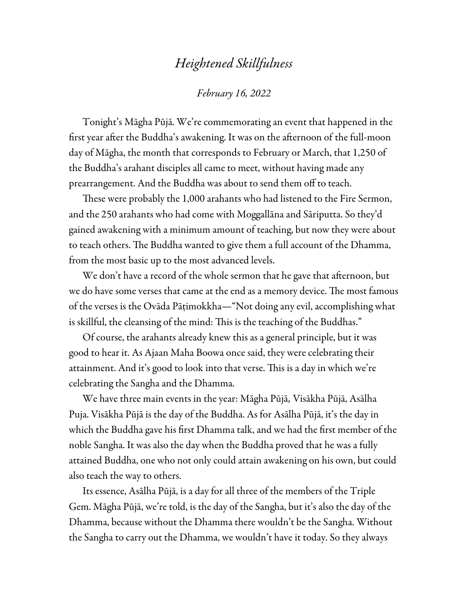## *Heightened Skillfulness*

## *February 16, 2022*

Tonight's Māgha Pūjā. We're commemorating an event that happened in the first year after the Buddha's awakening. It was on the afternoon of the full-moon day of Māgha, the month that corresponds to February or March, that 1,250 of the Buddha's arahant disciples all came to meet, without having made any prearrangement. And the Buddha was about to send them off to teach.

These were probably the 1,000 arahants who had listened to the Fire Sermon, and the 250 arahants who had come with Moggallāna and Sāriputta. So they'd gained awakening with a minimum amount of teaching, but now they were about to teach others. The Buddha wanted to give them a full account of the Dhamma, from the most basic up to the most advanced levels.

We don't have a record of the whole sermon that he gave that afternoon, but we do have some verses that came at the end as a memory device. The most famous of the verses is the Ovāda Pāṭimokkha—"Not doing any evil, accomplishing what is skillful, the cleansing of the mind: This is the teaching of the Buddhas."

Of course, the arahants already knew this as a general principle, but it was good to hear it. As Ajaan Maha Boowa once said, they were celebrating their attainment. And it's good to look into that verse. This is a day in which we're celebrating the Sangha and the Dhamma.

We have three main events in the year: Māgha Pūjā*,* Visākha Pūjā, Asālha Puja. Visākha Pūjā is the day of the Buddha. As for Asālha Pūjā, it's the day in which the Buddha gave his first Dhamma talk, and we had the first member of the noble Sangha. It was also the day when the Buddha proved that he was a fully attained Buddha, one who not only could attain awakening on his own, but could also teach the way to others.

Its essence, Asālha Pūjā, is a day for all three of the members of the Triple Gem. Māgha Pūjā, we're told, is the day of the Sangha, but it's also the day of the Dhamma, because without the Dhamma there wouldn't be the Sangha. Without the Sangha to carry out the Dhamma, we wouldn't have it today. So they always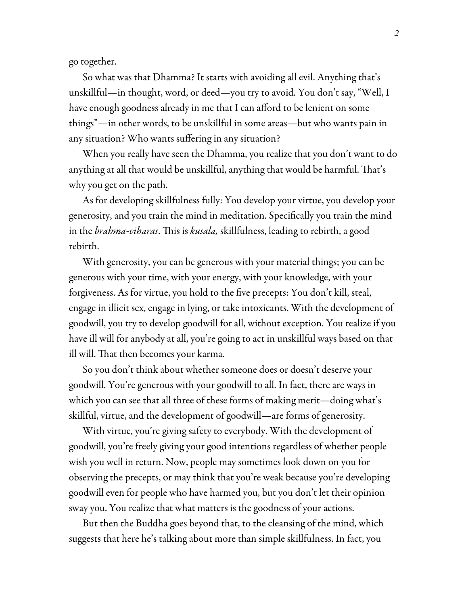go together.

So what was that Dhamma? It starts with avoiding all evil. Anything that's unskillful—in thought, word, or deed—you try to avoid. You don't say, "Well, I have enough goodness already in me that I can afford to be lenient on some things"—in other words, to be unskillful in some areas—but who wants pain in any situation? Who wants suffering in any situation?

When you really have seen the Dhamma, you realize that you don't want to do anything at all that would be unskillful, anything that would be harmful. That's why you get on the path.

As for developing skillfulness fully: You develop your virtue, you develop your generosity, and you train the mind in meditation. Specifically you train the mind in the *brahma-viharas*. This is *kusala,* skillfulness, leading to rebirth, a good rebirth.

With generosity, you can be generous with your material things; you can be generous with your time, with your energy, with your knowledge, with your forgiveness. As for virtue, you hold to the five precepts: You don't kill, steal, engage in illicit sex, engage in lying, or take intoxicants. With the development of goodwill, you try to develop goodwill for all, without exception. You realize if you have ill will for anybody at all, you're going to act in unskillful ways based on that ill will. That then becomes your karma.

So you don't think about whether someone does or doesn't deserve your goodwill. You're generous with your goodwill to all. In fact, there are ways in which you can see that all three of these forms of making merit—doing what's skillful, virtue, and the development of goodwill—are forms of generosity.

With virtue, you're giving safety to everybody. With the development of goodwill, you're freely giving your good intentions regardless of whether people wish you well in return. Now, people may sometimes look down on you for observing the precepts, or may think that you're weak because you're developing goodwill even for people who have harmed you, but you don't let their opinion sway you. You realize that what matters is the goodness of your actions.

But then the Buddha goes beyond that, to the cleansing of the mind, which suggests that here he's talking about more than simple skillfulness. In fact, you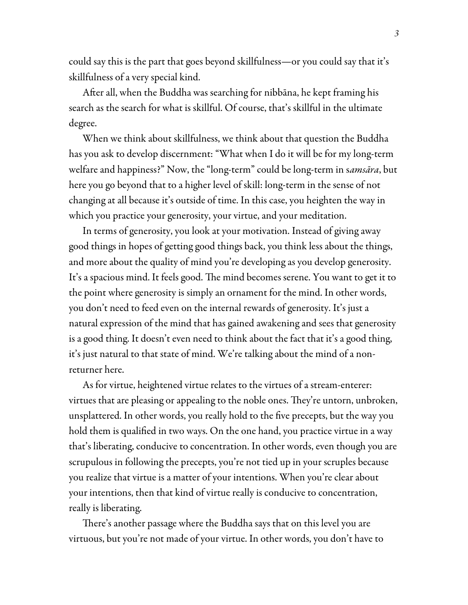could say this is the part that goes beyond skillfulness—or you could say that it's skillfulness of a very special kind.

After all, when the Buddha was searching for nibbāna, he kept framing his search as the search for what is skillful. Of course, that's skillful in the ultimate degree.

When we think about skillfulness, we think about that question the Buddha has you ask to develop discernment: "What when I do it will be for my long-term welfare and happiness?" Now, the "long-term" could be long-term in s*amsāra*, but here you go beyond that to a higher level of skill: long-term in the sense of not changing at all because it's outside of time. In this case, you heighten the way in which you practice your generosity, your virtue, and your meditation.

In terms of generosity, you look at your motivation. Instead of giving away good things in hopes of getting good things back, you think less about the things, and more about the quality of mind you're developing as you develop generosity. It's a spacious mind. It feels good. The mind becomes serene. You want to get it to the point where generosity is simply an ornament for the mind. In other words, you don't need to feed even on the internal rewards of generosity. It's just a natural expression of the mind that has gained awakening and sees that generosity is a good thing. It doesn't even need to think about the fact that it's a good thing, it's just natural to that state of mind. We're talking about the mind of a nonreturner here.

As for virtue, heightened virtue relates to the virtues of a stream-enterer: virtues that are pleasing or appealing to the noble ones. They're untorn, unbroken, unsplattered. In other words, you really hold to the five precepts, but the way you hold them is qualified in two ways. On the one hand, you practice virtue in a way that's liberating, conducive to concentration. In other words, even though you are scrupulous in following the precepts, you're not tied up in your scruples because you realize that virtue is a matter of your intentions. When you're clear about your intentions, then that kind of virtue really is conducive to concentration, really is liberating.

There's another passage where the Buddha says that on this level you are virtuous, but you're not made of your virtue. In other words, you don't have to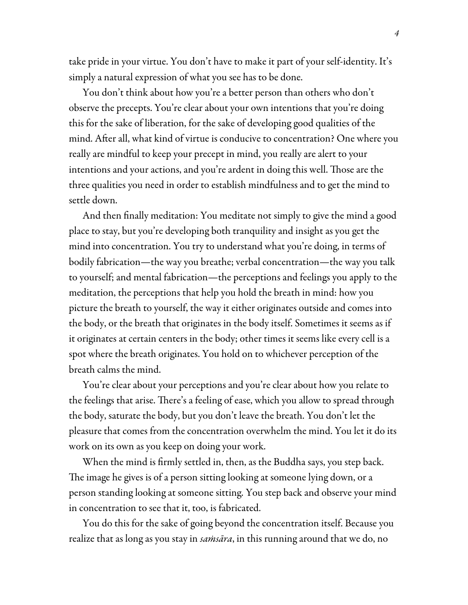take pride in your virtue. You don't have to make it part of your self-identity. It's simply a natural expression of what you see has to be done.

You don't think about how you're a better person than others who don't observe the precepts. You're clear about your own intentions that you're doing this for the sake of liberation, for the sake of developing good qualities of the mind. After all, what kind of virtue is conducive to concentration? One where you really are mindful to keep your precept in mind, you really are alert to your intentions and your actions, and you're ardent in doing this well. Those are the three qualities you need in order to establish mindfulness and to get the mind to settle down.

And then finally meditation: You meditate not simply to give the mind a good place to stay, but you're developing both tranquility and insight as you get the mind into concentration. You try to understand what you're doing, in terms of bodily fabrication—the way you breathe; verbal concentration—the way you talk to yourself; and mental fabrication—the perceptions and feelings you apply to the meditation, the perceptions that help you hold the breath in mind: how you picture the breath to yourself, the way it either originates outside and comes into the body, or the breath that originates in the body itself. Sometimes it seems as if it originates at certain centers in the body; other times it seems like every cell is a spot where the breath originates. You hold on to whichever perception of the breath calms the mind.

You're clear about your perceptions and you're clear about how you relate to the feelings that arise. There's a feeling of ease, which you allow to spread through the body, saturate the body, but you don't leave the breath. You don't let the pleasure that comes from the concentration overwhelm the mind. You let it do its work on its own as you keep on doing your work.

When the mind is firmly settled in, then, as the Buddha says, you step back. The image he gives is of a person sitting looking at someone lying down, or a person standing looking at someone sitting. You step back and observe your mind in concentration to see that it, too, is fabricated.

You do this for the sake of going beyond the concentration itself. Because you realize that as long as you stay in *saṁsāra*, in this running around that we do, no